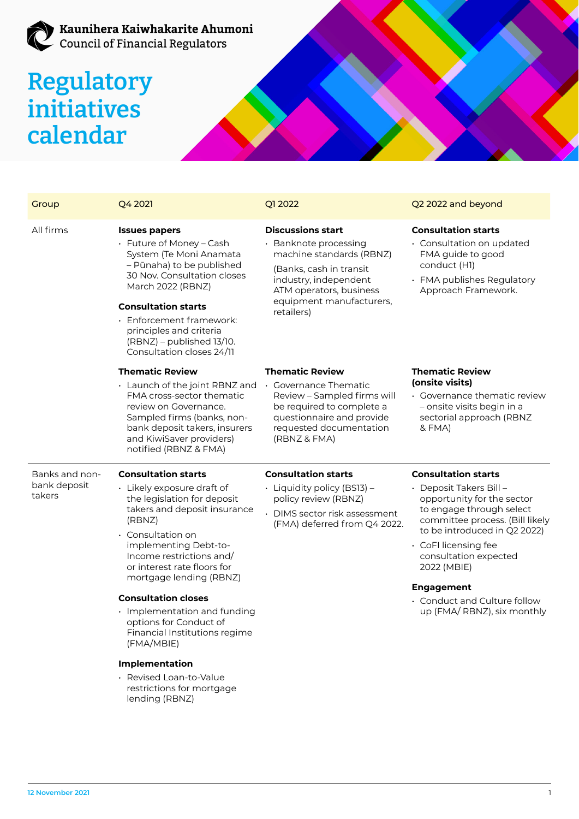## **Regulatory initiatives calendar**

| Group                                    | Q4 2021                                                                                                                                                                                                                                                                                                                                                                                                            | Q1 2022                                                                                                                                                                                                 | Q2 2022 and beyond                                                                                                                                                                                                                                                                                                                     |
|------------------------------------------|--------------------------------------------------------------------------------------------------------------------------------------------------------------------------------------------------------------------------------------------------------------------------------------------------------------------------------------------------------------------------------------------------------------------|---------------------------------------------------------------------------------------------------------------------------------------------------------------------------------------------------------|----------------------------------------------------------------------------------------------------------------------------------------------------------------------------------------------------------------------------------------------------------------------------------------------------------------------------------------|
| All firms                                | <b>Issues papers</b><br>• Future of Money - Cash<br>System (Te Moni Anamata<br>- Pūnaha) to be published<br>30 Nov. Consultation closes<br>March 2022 (RBNZ)<br><b>Consultation starts</b><br>$\cdot$ Enforcement framework:<br>principles and criteria<br>$(RBNZ)$ – published $13/10$ .<br>Consultation closes 24/11                                                                                             | <b>Discussions start</b><br>• Banknote processing<br>machine standards (RBNZ)<br>(Banks, cash in transit)<br>industry, independent<br>ATM operators, business<br>equipment manufacturers,<br>retailers) | <b>Consultation starts</b><br>$\cdot$ Consultation on updated<br>FMA guide to good<br>conduct (H1)<br>· FMA publishes Regulatory<br>Approach Framework.                                                                                                                                                                                |
|                                          | <b>Thematic Review</b><br>· Launch of the joint RBNZ and<br>FMA cross-sector thematic<br>review on Governance.<br>Sampled firms (banks, non-<br>bank deposit takers, insurers<br>and KiwiSaver providers)<br>notified (RBNZ & FMA)                                                                                                                                                                                 | <b>Thematic Review</b><br>• Governance Thematic<br>Review - Sampled firms will<br>be required to complete a<br>questionnaire and provide<br>requested documentation<br>(RBNZ & FMA)                     | <b>Thematic Review</b><br>(onsite visits)<br>• Governance thematic review<br>– onsite visits begin in a<br>sectorial approach (RBNZ<br>& FMA)                                                                                                                                                                                          |
| Banks and non-<br>bank deposit<br>takers | <b>Consultation starts</b><br>· Likely exposure draft of<br>the legislation for deposit<br>takers and deposit insurance<br>(RBNZ)<br>$\cdot$ Consultation on<br>implementing Debt-to-<br>Income restrictions and/<br>or interest rate floors for<br>mortgage lending (RBNZ)<br><b>Consultation closes</b><br>· Implementation and funding<br>options for Conduct of<br>Financial Institutions regime<br>(FMA/MBIE) | <b>Consultation starts</b><br>• Liquidity policy (BS13) –<br>policy review (RBNZ)<br>• DIMS sector risk assessment<br>(FMA) deferred from Q4 2022.                                                      | <b>Consultation starts</b><br>• Deposit Takers Bill –<br>opportunity for the sector<br>to engage through select<br>committee process. (Bill likely<br>to be introduced in Q2 2022)<br>· CoFI licensing fee<br>consultation expected<br>2022 (MBIE)<br><b>Engagement</b><br>• Conduct and Culture follow<br>up (FMA/ RBNZ), six monthly |
|                                          | <b>Implementation</b><br>· Revised Loan-to-Value<br>restrictions for mortgage<br>lending (RBNZ)                                                                                                                                                                                                                                                                                                                    |                                                                                                                                                                                                         |                                                                                                                                                                                                                                                                                                                                        |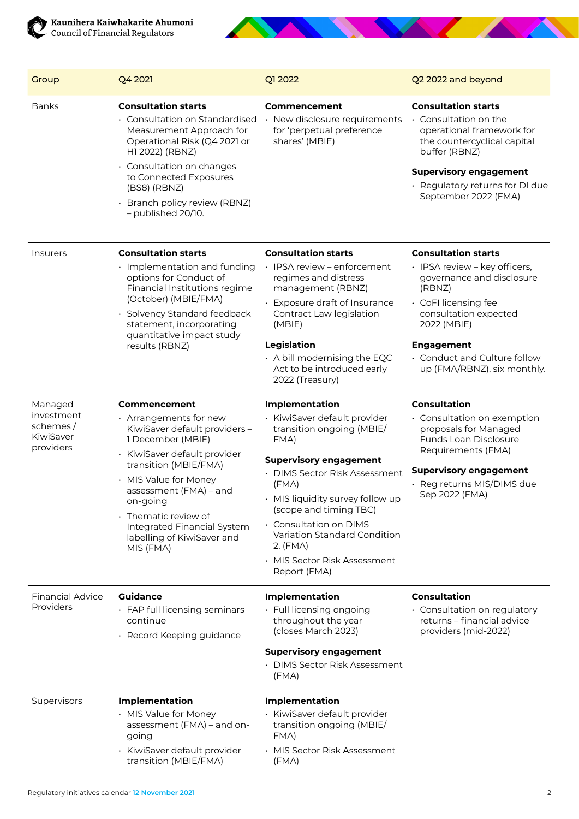



| Group                                                       | Q4 2021                                                                                                                                                                                                                                                                   | Q1 2022                                                                                      | Q2 2022 and beyond                                                                                                                                                                                                           |
|-------------------------------------------------------------|---------------------------------------------------------------------------------------------------------------------------------------------------------------------------------------------------------------------------------------------------------------------------|----------------------------------------------------------------------------------------------|------------------------------------------------------------------------------------------------------------------------------------------------------------------------------------------------------------------------------|
| <b>Banks</b>                                                | <b>Consultation starts</b><br>• Consultation on Standardised<br>Measurement Approach for<br>Operational Risk (Q4 2021 or<br>H1 2022) (RBNZ)<br>• Consultation on changes<br>to Connected Exposures<br>(BS8) (RBNZ)<br>Branch policy review (RBNZ)<br>$-$ published 20/10. | Commencement<br>· New disclosure requirements<br>for 'perpetual preference<br>shares' (MBIE) | <b>Consultation starts</b><br>• Consultation on the<br>operational framework for<br>the countercyclical capital<br>buffer (RBNZ)<br><b>Supervisory engagement</b><br>· Regulatory returns for DI due<br>September 2022 (FMA) |
| <b>Insurers</b>                                             | <b>Consultation starts</b><br>$\cdot$ Implementation and funding<br>options for Conduct of<br>Financial Institutions regime<br>(October) (MBIE/FMA)<br>· Solvency Standard feedback<br>statement, incorporating<br>quantitative impact study<br>results (RBNZ)            | <b>Consultation starts</b><br>· IPSA review – enforcement                                    | <b>Consultation starts</b><br>· IPSA review - key officers,                                                                                                                                                                  |
|                                                             |                                                                                                                                                                                                                                                                           | regimes and distress<br>management (RBNZ)                                                    | governance and disclosure<br>(RBNZ)                                                                                                                                                                                          |
|                                                             |                                                                                                                                                                                                                                                                           | Exposure draft of Insurance<br>Contract Law legislation<br>(MBIE)                            | · CoFI licensing fee<br>consultation expected<br>2022 (MBIE)                                                                                                                                                                 |
|                                                             |                                                                                                                                                                                                                                                                           | Legislation                                                                                  | <b>Engagement</b>                                                                                                                                                                                                            |
|                                                             |                                                                                                                                                                                                                                                                           | $\cdot$ A bill modernising the EQC<br>Act to be introduced early<br>2022 (Treasury)          | . Conduct and Culture follow<br>up (FMA/RBNZ), six monthly.                                                                                                                                                                  |
| Managed<br>investment<br>schemes/<br>KiwiSaver<br>providers | Commencement                                                                                                                                                                                                                                                              | <b>Implementation</b>                                                                        | <b>Consultation</b>                                                                                                                                                                                                          |
|                                                             | $\cdot$ Arrangements for new<br>KiwiSaver default providers -<br>1 December (MBIE)                                                                                                                                                                                        | · KiwiSaver default provider<br>transition ongoing (MBIE/<br>FMA)                            | • Consultation on exemption<br>proposals for Managed<br>Funds Loan Disclosure<br>Requirements (FMA)                                                                                                                          |
|                                                             | · KiwiSaver default provider<br>transition (MBIE/FMA)<br>· MIS Value for Money<br>assessment (FMA) - and<br>on-going<br>• Thematic review of<br>Integrated Financial System<br>labelling of KiwiSaver and<br>MIS (FMA)                                                    | <b>Supervisory engagement</b><br>• DIMS Sector Risk Assessment                               | <b>Supervisory engagement</b><br>· Reg returns MIS/DIMS due<br>Sep 2022 (FMA)                                                                                                                                                |
|                                                             |                                                                                                                                                                                                                                                                           | (FMA)<br>• MIS liquidity survey follow up                                                    |                                                                                                                                                                                                                              |
|                                                             |                                                                                                                                                                                                                                                                           | (scope and timing TBC)                                                                       |                                                                                                                                                                                                                              |
|                                                             |                                                                                                                                                                                                                                                                           | $\cdot$ Consultation on DIMS<br>Variation Standard Condition<br>$2.$ (FMA)                   |                                                                                                                                                                                                                              |
|                                                             |                                                                                                                                                                                                                                                                           | • MIS Sector Risk Assessment<br>Report (FMA)                                                 |                                                                                                                                                                                                                              |
| <b>Financial Advice</b><br>Providers                        | <b>Guidance</b>                                                                                                                                                                                                                                                           | <b>Implementation</b>                                                                        | <b>Consultation</b>                                                                                                                                                                                                          |
|                                                             | • FAP full licensing seminars<br>continue<br>· Record Keeping guidance                                                                                                                                                                                                    | • Full licensing ongoing<br>throughout the year<br>(closes March 2023)                       | · Consultation on regulatory<br>returns - financial advice<br>providers (mid-2022)                                                                                                                                           |
|                                                             |                                                                                                                                                                                                                                                                           | <b>Supervisory engagement</b>                                                                |                                                                                                                                                                                                                              |
|                                                             |                                                                                                                                                                                                                                                                           | • DIMS Sector Risk Assessment<br>(FMA)                                                       |                                                                                                                                                                                                                              |
| Supervisors                                                 | <b>Implementation</b>                                                                                                                                                                                                                                                     | <b>Implementation</b>                                                                        |                                                                                                                                                                                                                              |
|                                                             | · MIS Value for Money<br>assessment (FMA) - and on-<br>going                                                                                                                                                                                                              | · KiwiSaver default provider<br>transition ongoing (MBIE/<br>FMA)                            |                                                                                                                                                                                                                              |
|                                                             | · KiwiSaver default provider<br>transition (MBIE/FMA)                                                                                                                                                                                                                     | • MIS Sector Risk Assessment<br>(FMA)                                                        |                                                                                                                                                                                                                              |